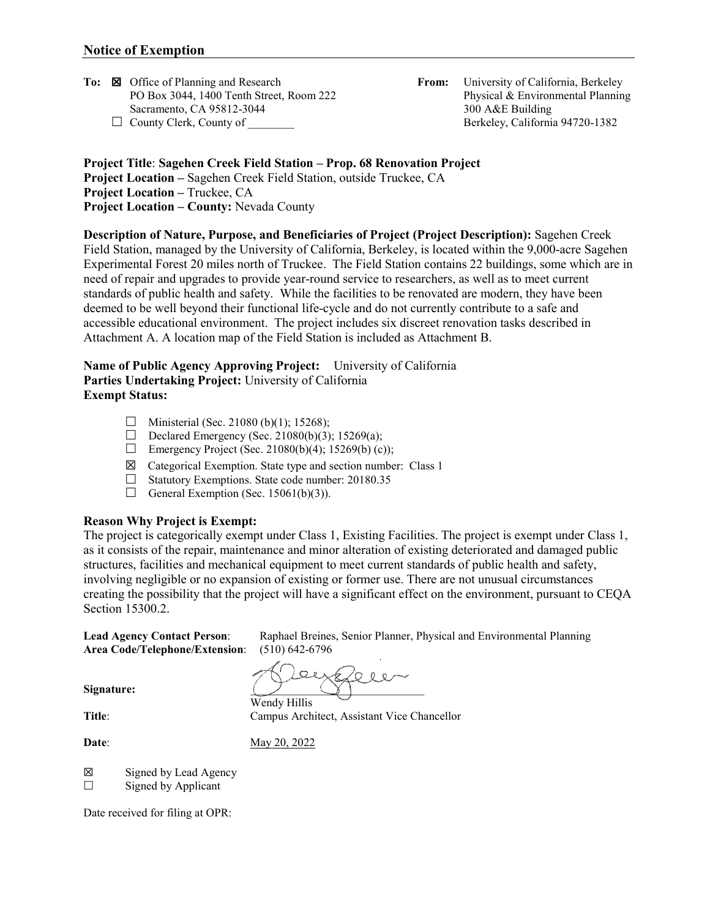**To:**  $\boxtimes$  Office of Planning and Research **From:** University of California, Berkeley PO Box 3044, 1400 Tenth Street, Room 222 **Physical & Environmental Planning** PO Box 3044, 1400 Tenth Street, Room 222 Sacramento, CA 95812-3044 300 A&E Building

□ County Clerk, County of Berkeley, California 94720-1382

**Project Title**: **Sagehen Creek Field Station – Prop. 68 Renovation Project Project Location –** Sagehen Creek Field Station, outside Truckee, CA **Project Location –** Truckee, CA **Project Location – County:** Nevada County

**Description of Nature, Purpose, and Beneficiaries of Project (Project Description):** Sagehen Creek Field Station, managed by the University of California, Berkeley, is located within the 9,000-acre Sagehen Experimental Forest 20 miles north of Truckee. The Field Station contains 22 buildings, some which are in need of repair and upgrades to provide year-round service to researchers, as well as to meet current standards of public health and safety. While the facilities to be renovated are modern, they have been deemed to be well beyond their functional life-cycle and do not currently contribute to a safe and accessible educational environment. The project includes six discreet renovation tasks described in Attachment A. A location map of the Field Station is included as Attachment B.

## **Name of Public Agency Approving Project:** University of California **Parties Undertaking Project:** University of California **Exempt Status:**

- $\Box$  Ministerial (Sec. 21080 (b)(1); 15268);
- Declared Emergency (Sec. 21080(b)(3); 15269(a);
- Emergency Project (Sec. 21080(b)(4); 15269(b) (c));
- $\boxtimes$  Categorical Exemption. State type and section number: Class 1
- $\Box$  Statutory Exemptions. State code number: 20180.35
- General Exemption (Sec. 15061(b)(3)).

### **Reason Why Project is Exempt:**

The project is categorically exempt under Class 1, Existing Facilities. The project is exempt under Class 1, as it consists of the repair, maintenance and minor alteration of existing deteriorated and damaged public structures, facilities and mechanical equipment to meet current standards of public health and safety, involving negligible or no expansion of existing or former use. There are not unusual circumstances creating the possibility that the project will have a significant effect on the environment, pursuant to CEQA Section 15300.2.

Lead Agency Contact Person: Raphael Breines, Senior Planner, Physical and Environmental Planning<br>Area Code/Telephone/Extension: (510) 642-6796 Area Code/Telephone/Extension:

 $QR_A$  $O$  0  $R$ 

Signature:

Wendy Hillis Title: Campus Architect, Assistant Vice Chancellor

**Date**: May 20, 2022

☒ Signed by Lead Agency

 $\Box$  Signed by Applicant

Date received for filing at OPR: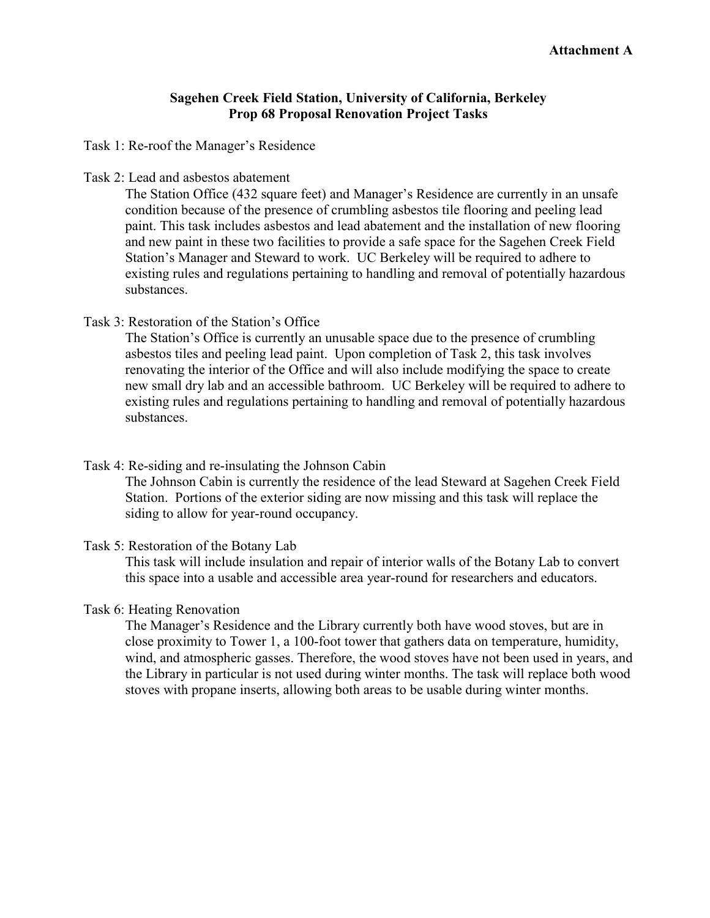# **Sagehen Creek Field Station, University of California, Berkeley Prop 68 Proposal Renovation Project Tasks**

Task 1: Re-roof the Manager's Residence

Task 2: Lead and asbestos abatement

The Station Office (432 square feet) and Manager's Residence are currently in an unsafe condition because of the presence of crumbling asbestos tile flooring and peeling lead paint. This task includes asbestos and lead abatement and the installation of new flooring and new paint in these two facilities to provide a safe space for the Sagehen Creek Field Station's Manager and Steward to work. UC Berkeley will be required to adhere to existing rules and regulations pertaining to handling and removal of potentially hazardous substances.

## Task 3: Restoration of the Station's Office

The Station's Office is currently an unusable space due to the presence of crumbling asbestos tiles and peeling lead paint. Upon completion of Task 2, this task involves renovating the interior of the Office and will also include modifying the space to create new small dry lab and an accessible bathroom. UC Berkeley will be required to adhere to existing rules and regulations pertaining to handling and removal of potentially hazardous substances.

Task 4: Re-siding and re-insulating the Johnson Cabin

The Johnson Cabin is currently the residence of the lead Steward at Sagehen Creek Field Station. Portions of the exterior siding are now missing and this task will replace the siding to allow for year-round occupancy.

Task 5: Restoration of the Botany Lab

This task will include insulation and repair of interior walls of the Botany Lab to convert this space into a usable and accessible area year-round for researchers and educators.

### Task 6: Heating Renovation

The Manager's Residence and the Library currently both have wood stoves, but are in close proximity to Tower 1, a 100-foot tower that gathers data on temperature, humidity, wind, and atmospheric gasses. Therefore, the wood stoves have not been used in years, and the Library in particular is not used during winter months. The task will replace both wood stoves with propane inserts, allowing both areas to be usable during winter months.